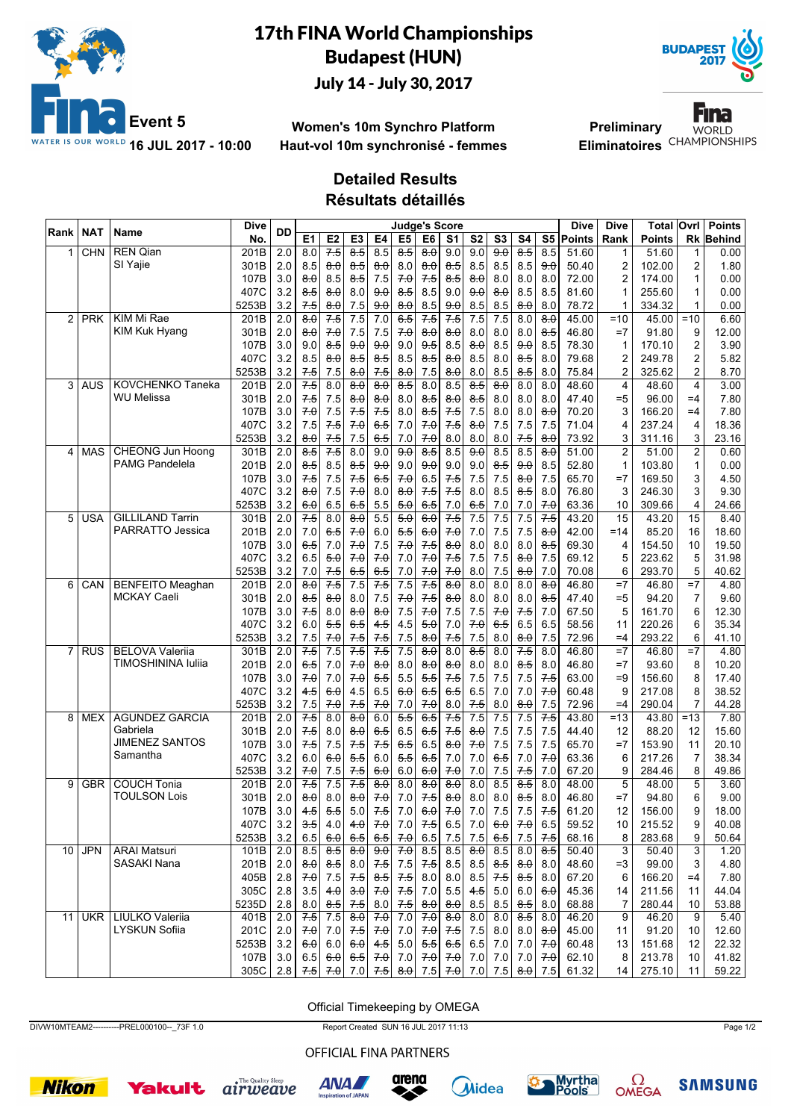

### 17th FINA World Championships Budapest (HUN) July 14 - July 30, 2017



**Women's 10m Synchro Platform Haut-vol 10m synchronisé - femmes**

**Preliminary** Eliminatoires<sup>CHAMPIONSHIPS</sup>

Fina **WORLD** 

# **Detailed Results**

**Résultats détaillés**

|      | <b>NAT</b> |                         | <b>Dive</b> |                  |                     |                     |                     |                     | <b>Judge's Score</b> |                  |                     |                     |                     |                  |                   | <b>Dive</b> | <b>Dive</b>     | Total         | Ovrl           | <b>Points</b> |
|------|------------|-------------------------|-------------|------------------|---------------------|---------------------|---------------------|---------------------|----------------------|------------------|---------------------|---------------------|---------------------|------------------|-------------------|-------------|-----------------|---------------|----------------|---------------|
| Rank |            | Name                    | No.         | DD               | E <sub>1</sub>      | E <sub>2</sub>      | E <sub>3</sub>      | E4                  | E <sub>5</sub>       | E6               | S <sub>1</sub>      | S <sub>2</sub>      | S <sub>3</sub>      | S4               |                   | S5 Points   | Rank            | <b>Points</b> | Rk             | Behind        |
| 1    | CHN        | <b>REN Qian</b>         | 201B        | 2.0              | 8.0                 | 7.5                 | 8.5                 | 8.5                 | 8.5                  | $\overline{8.0}$ | 9.0                 | 9.0                 | 90                  | $8-5$            | 8.5               | 51.60       | 1               | 51.60         | 1              | 0.00          |
|      |            | SI Yajie                | 301B        | 2.0              | 8.5                 | $\theta$ . $\theta$ | 8.5                 | $\theta$ . $\theta$ | 8.0                  | 8.0              | 8.5                 | 8.5                 | 8.5                 | 8.5              | 9.0               | 50.40       | 2               | 102.00        | 2              | 1.80          |
|      |            |                         | 107B        | 3.0              | 8.0                 | 8.5                 | 8.5                 | 7.5                 | 7.0                  | 7.5              | $8-5$               | 8.0                 | 8.0                 | 8.0              | 8.0               | 72.00       | 2               | 174.00        | $\mathbf{1}$   | 0.00          |
|      |            |                         | 407C        | 3.2              | 8.5                 | 8.0                 | 8.0                 | 9.0                 | 85                   | 8.5              | 9.0                 | 9.0                 | $\theta$ . $\theta$ | 8.5              | 8.5               | 81.60       |                 | 255.60        | 1              | 0.00          |
|      |            |                         | 5253B       | 3.2              | 7.5                 | $\theta$ . $\theta$ | $7.5\,$             | 9.0                 | $\theta$ . $\theta$  | 8.5              | 9.0                 | 8.5                 | 8.5                 | 8.0              | 8.0               | 78.72       | 1               | 334.32        | $\mathbf{1}$   | 0.00          |
| 2    | <b>PRK</b> | KIM Mi Rae              | 201B        | $\overline{2.0}$ | $\overline{8.0}$    | 7.5                 | 7.5                 | $\overline{7.0}$    | 6.5                  | 7.5              | 7.5                 | $\overline{7.5}$    | 7.5                 | $\overline{8.0}$ | $\overline{8.0}$  | 45.00       | $=10$           | 45.00         | $=10$          | 6.60          |
|      |            | KIM Kuk Hyang           | 301B        | 2.0              | 6.0                 | 7.0                 | 7.5                 | 7.5                 | 7.0                  | 8.0              | 8.0                 | 8.0                 | 8.0                 | 8.0              | 8.5               | 46.80       | $=7$            | 91.80         | 9              | 12.00         |
|      |            |                         | 107B        | 3.0              | 9.0                 | 8.5                 | 9.0                 | 9.0                 | 9.0                  | 9.5              | 8.5                 | $\theta$ . $\theta$ | 8.5                 | 9.0              | 8.5               | 78.30       | 1               | 170.10        | 2              | 3.90          |
|      |            |                         | 407C        | 3.2              | 8.5                 | 8.0                 | 8.5                 | 8.5                 | 8.5                  | 8.5              | 8.0                 | 8.5                 | 8.0                 | 8.5              | 8.0               | 79.68       | 2               | 249.78        | 2              | 5.82          |
|      |            |                         | 5253B       | 3.2              | 7.5                 | 7.5                 | 8.0                 | 7.5                 | 8.0                  | 7.5              | 8.0                 | 8.0                 | 8.5                 | 8.5              | 8.0               | 75.84       | 2               | 325.62        | 2              | 8.70          |
| 3    | AUS        | <b>KOVCHENKO Taneka</b> | 201B        | 2.0              | 7.5                 | 8.0                 | $\theta$ . $\theta$ | 8.0                 | 8.5                  | 8.0              | 8.5                 | 8.5                 | $\theta$ . $\theta$ | 8.0              | 8.0               | 48.60       | 4               | 48.60         | $\overline{4}$ | 3.00          |
|      |            | WU Melissa              | 301B        | 2.0              | 7.5                 | 7.5                 | 8.0                 | 8.0                 | 8.0                  | 8.5              | 8.0                 | 8.5                 | 8.0                 | 8.0              | 8.0               | 47.40       | $= 5$           | 96.00         | $=4$           | 7.80          |
|      |            |                         | 107B        | 3.0              | 7.0                 | 7.5                 | 7.5                 | 7.5                 | 8.0                  | 8.5              | 7.5                 | 7.5                 | 8.0                 | 8.0              | 8.0               | 70.20       | 3               | 166.20        | $=4$           | 7.80          |
|      |            |                         | 407C        | 3.2              | 7.5                 | 7.5                 | 70                  | 6.5                 | 7.0                  | 70               | 7.5                 | $\theta$ . $\theta$ | 7.5                 | 7.5              | 7.5               | 71.04       | 4               | 237.24        | 4              | 18.36         |
|      |            |                         | 5253B       | 3.2              | 8.0                 | 7.5                 | 7.5                 | 6.5                 | 7.0                  | 7.0              | 8.0                 | 8.0                 | 8.0                 | 7.5              | 8.0               | 73.92       | 3               | 311.16        | 3              | 23.16         |
| 4    | <b>MAS</b> | <b>CHEONG Jun Hoong</b> | 301B        | 2.0              | 8.5                 | $7-5$               | $\overline{8.0}$    | 9.0                 | $\overline{9.0}$     | $\overline{8.5}$ | 8.5                 | 9.0                 | 8.5                 | 8.5              | 8.0               | 51.00       | $\overline{2}$  | 51.00         | 2              | 0.60          |
|      |            | <b>PAMG Pandelela</b>   | 201B        | 2.0              | ୫ 5                 | 8.5                 | 8.5                 | 9.0                 | 9.0                  | 9.0              | 9.0                 | 9.0                 | 8.5                 | 9.0              | 8.5               | 52.80       | 1               | 103.80        | 1              | 0.00          |
|      |            |                         | 107B        | 3.0              | 7.5                 | 7.5                 | $7-5$               | 6.5                 | 7.0                  | 6.5              | $7-5$               | 7.5                 | 7.5                 | 8.0              | 7.5               | 65.70       | $=7$            | 169.50        | 3              | 4.50          |
|      |            |                         | 407C        | 3.2              | 8.0                 | 7.5                 | 70                  | 8.0                 | 8.0                  | 7.5              | 7.5                 | 8.0                 | 8.5                 | 8.5              | 8.0               | 76.80       | 3               | 246.30        | 3              | 9.30          |
|      |            |                         | 5253B       | 3.2              | 6.0                 | 6.5                 | 6.5                 | 5.5                 | 5.0                  | 6.5              | 7.0                 | 6.5                 | 7.0                 | 7.0              | 7.0               | 63.36       | 10              | 309.66        | 4              | 24.66         |
| 5    | <b>USA</b> | <b>GILLILAND Tarrin</b> | 301B        | $\overline{2.0}$ | $7-5$               | 8.0                 | $\overline{8.0}$    | $\overline{5.5}$    | $\overline{5.0}$     | 6.0              | 7.5                 | $\overline{7.5}$    | 7.5                 | 7.5              | 7.5               | 43.20       | $\overline{15}$ | 43.20         | 15             | 8.40          |
|      |            | <b>PARRATTO Jessica</b> | 201B        | 2.0              | 7.0                 | 6.5                 | 70                  | 6.0                 | 5.5                  | 6.0              | 70                  | 7.0                 | 7.5                 | 7.5              | 8.0               | 42.00       | $=14$           | 85.20         | 16             | 18.60         |
|      |            |                         | 107B        | 3.0              | 6.5                 | 7.0                 | 7.0                 | 7.5                 | 70                   | 7.5              | $\theta$ . $\theta$ | 8.0                 | 8.0                 | 8.0              | 8.5               | 69.30       | 4               | 154.50        | 10             | 19.50         |
|      |            |                         | 407C        | 3.2              | 6.5                 | 5.0                 | 70                  | 7.0                 | 7.0                  | 7.0              | 7.5                 | 7.5                 | 7.5                 | 8.0              | 7.5               | 69.12       | 5               | 223.62        | 5              | 31.98         |
|      |            |                         | 5253B       | 3.2              | 7.0                 | 7.5                 | 6.5                 | 6.5                 | 7.0                  | 7.0              | 7.0                 | 8.0                 | 7.5                 | 8.0              | 7.0               | 70.08       | 6               | 293.70        | 5              | 40.62         |
| 6    | CAN        | <b>BENFEITO Meaghan</b> | 201B        | 2.0              | $\theta$ . $\theta$ | $7-5$               | 7.5                 | $7-5$               | 7.5                  | 7.5              | $\theta$ . $\theta$ | 8.0                 | 8.0                 | 8.0              | 8.0               | 46.80       | $=7$            | 46.80         | $=7$           | 4.80          |
|      |            | <b>MCKAY Caeli</b>      | 301B        | 2.0              | 8.5                 | 8.0                 | 8.0                 | 7.5                 | 7.0                  | 7.5              | 8.0                 | 8.0                 | 8.0                 | 8.0              | 8.5               | 47.40       | $= 5$           | 94.20         | $\overline{7}$ | 9.60          |
|      |            |                         | 107B        | 3.0              | 7.5                 | 8.0                 | 8.0                 | 8.0                 | 7.5                  | 7.0              | 7.5                 | 7.5                 | 7.0                 | 7.5              | 7.0               | 67.50       | 5               | 161.70        | 6              | 12.30         |
|      |            |                         | 407C        | 3.2              | 6.0                 | 5.5                 | 6.5                 | 4.5                 | 4.5                  | 5.0              | 7.0                 | 7.0                 | 6.5                 | 6.5              | 6.5               | 58.56       | 11              | 220.26        | 6              | 35.34         |
|      |            |                         | 5253B       | 3.2              | 7.5                 | 70                  | 7.5                 | 7.5                 | 7.5                  | 8.0              | 7.5                 | 7.5                 | 8.0                 | 8.0              | 7.5               | 72.96       | $=4$            | 293.22        | 6              | 41.10         |
| 7    | <b>RUS</b> | <b>BELOVA Valerija</b>  | 301B        | 2.0              | 7.5                 | $\overline{7.5}$    | 7.5                 | 7.5                 | 7.5                  | $\overline{8.0}$ | $\overline{8.0}$    | $\overline{8.5}$    | 8.0                 | $7-5$            | 8.0               | 46.80       | $=7$            | 46.80         | $=7$           | 4.80          |
|      |            | TIMOSHININA Iuliia      | 201B        | 2.0              | 65                  | 7.0                 | 70                  | $\theta$ . $\theta$ | 8.0                  | 8.0              | 8.0                 | 8.0                 | 8.0                 | 8.5              | 8.0               | 46.80       | $=7$            | 93.60         | 8              | 10.20         |
|      |            |                         | 107B        | 3.0              | 7.0                 | 7.0                 | 70                  | 5.5                 | 5.5                  | 5.5              | $7-5$               | 7.5                 | 7.5                 | 7.5              | 7.5               | 63.00       | $=9$            | 156.60        | 8              | 17.40         |
|      |            |                         | 407C        | 3.2              | 4.5                 | 6.0                 | 4.5                 | 6.5                 | 6.0                  | 6.5              | 6.5                 | 6.5                 | 7.0                 | 7.0              | 7.0               | 60.48       | 9               | 217.08        | 8              | 38.52         |
|      |            |                         | 5253B       | 3.2              | 7.5                 | 70                  | 7.5                 | 7.0                 | 7.0                  | 7.0              | 8.0                 | 7.5                 | 8.0                 | 8.0              | 7.5               | 72.96       | $=4$            | 290.04        | 7              | 44.28         |
| 8    | MEX        | <b>AGUNDEZ GARCIA</b>   | 201B        | $\overline{2.0}$ | $7-5$               | $\overline{8.0}$    | $\overline{8.0}$    | 6.0                 | $\overline{5.5}$     | 6.5              | 7.5                 | $\overline{7.5}$    | 7.5                 | 7.5              | 7.5               | 43.80       | $=13$           | 43.80         | $=13$          | 7.80          |
|      |            | Gabriela                | 301B        | 2.0              | 7.5                 | 8.0                 | 8.0                 | 6.5                 | 6.5                  | 6.5              | 7.5                 | 8.0                 | 7.5                 | 7.5              | 7.5               | 44.40       | 12              | 88.20         | 12             | 15.60         |
|      |            | <b>JIMENEZ SANTOS</b>   | 107B        | 3.0              | 7.5                 | 7.5                 | 7.5                 | 7.5                 | 6.5                  | 6.5              | $\theta$ . $\theta$ | 7.0                 | 7.5                 | 7.5              | 7.5               | 65.70       | $=7$            | 153.90        | 11             | 20.10         |
|      |            | Samantha                | 407C        | 3.2              | 6.0                 | 6.0                 | 5.5                 | 6.0                 | 5.5                  | 6.5              | 7.0                 | 7.0                 | 6.5                 | 7.0              | 70                | 63.36       | 6               | 217.26        | 7              | 38.34         |
|      |            |                         | 5253B       | 3.2              | 7.0                 | 7.5                 | 7.5                 | 6.0                 | 6.0                  | 6.0              | 7.0                 | 7.0                 | 7.5                 | 7.5              | 7.0               | 67.20       | 9               | 284.46        | 8              | 49.86         |
| 9    | <b>GBR</b> | <b>COUCH Tonia</b>      | 201B        | $\overline{2.0}$ | 7.5                 | 7.5                 | 7.5                 | $\theta$ . $\theta$ | 8.0                  | $\overline{8.0}$ | 0.6                 | 8.0                 | 8.5                 | 8.5              | 8.0               | 48.00       | $\overline{5}$  | 48.00         | 5              | 3.60          |
|      |            | <b>TOULSON Lois</b>     | 301B        | 2.0              | $\theta$ . $\theta$ | 8.0                 | $\theta$ . $\theta$ | 70                  | 7.0                  | $7-5$            | $\theta$ . $\theta$ | 8.0                 | 8.0                 | 8.5              | 8.0               | 46.80       | $=7$            | 94.80         | 6              | 9.00          |
|      |            |                         | 107B        | 3.0              | 4.5                 | 5.5                 | 5.0                 | 7.5                 | 7.0                  | 6.0              | 70                  | 7.0                 | 7.5                 | 7.5              | 7.5               | 61.20       | 12              | 156.00        | 9              | 18.00         |
|      |            |                         | 407C        | 3.2              | 3.5                 | 4.0                 | 4.0                 | 7.0                 | 7.0                  | 7.5              | 6.5                 | 7.0                 | 60                  | 7.0              | 6.5               | 59.52       | 10              | 215.52        | 9              | 40.08         |
|      |            |                         | 5253B       | 3.2              | 6.5                 | 6.0                 | 6.5                 | 6.5                 | 7.0                  | 6.5              | 7.5                 | 7.5                 | 6.5                 | 7.5              | 7.5               | 68.16       | 8               | 283.68        | 9              | 50.64         |
| 10   | <b>JPN</b> | <b>ARAI Matsuri</b>     | 101B        | 2.0              | 8.5                 | $\frac{8}{5}$       | 8.0                 | 9.0                 | 7.0                  | 8.5              | 8.5                 | 8.0                 | 8.5                 | 8.0              | 8.5               | 50.40       | 3               | 50.40         | 3              | 1.20          |
|      |            | SASAKI Nana             | 201B        | 2.0              | $\theta$ . $\theta$ | 8.5                 | 8.0                 | 7.5                 | 7.5                  | 7.5              | 8.5                 | 8.5                 | 8.5                 | 8.0              | 8.0               | 48.60       | $=3$            | 99.00         | 3              | 4.80          |
|      |            |                         | 405B        | 2.8              | 7.0                 | $7.5\,$             | 7.5                 | 8.5                 | 7.5                  | 8.0              | 8.0                 | 8.5                 | 7.5                 | 8.5              | 8.0               | 67.20       | 6               | 166.20        | $=4$           | 7.80          |
|      |            |                         | 305C        | 2.8              | $3.5\,$             | 4.0                 | 3.0                 | 70                  | 7.5                  | 7.0              | 5.5                 | 4.5                 | 5.0                 | 6.0              | 6.0               | 45.36       | 14              | 211.56        | 11             | 44.04         |
|      |            |                         | 5235D       | $2.8\,$          | 8.0                 | 8.5                 | 7.5                 | 8.0                 | 7.5                  | $\frac{8.0}{2}$  | $\theta$ . $\theta$ | 8.5                 | 8.5                 | 8.5              | 8.0               | 68.88       | 7               | 280.44        | 10             | 53.88         |
| 11   | <b>UKR</b> | LIULKO Valeriia         | 401B        | 2.0              | 7.5                 | 7.5                 | $\theta$ . $\theta$ | 70                  | 7.0                  | 70               | $\theta$ . $\theta$ | 8.0                 | 8.0                 | 8.5              | 8.0               | 46.20       | 9               | 46.20         | 9              | 5.40          |
|      |            | LYSKUN Sofiia           | 201C        | 2.0              | 70                  | 7.0                 | 7.5                 | 7.0                 | 7.0                  | 70               | 7.5                 | 7.5                 | 8.0                 | 8.0              | 8.0               | 45.00       | 11              | 91.20         | 10             | 12.60         |
|      |            |                         | 5253B       | 3.2              | 6.0                 | $6.0\,$             | 6.0                 | 4.5                 | 5.0                  | 5.5              | 6.5                 | 6.5                 | 7.0                 | 7.0              | 70                | 60.48       | 13              | 151.68        | 12             | 22.32         |
|      |            |                         | 107B        | 3.0              | 6.5                 | 6.0                 |                     | $6.5$ 7.0           | 7.0                  | 7.0              |                     | $70$   7.0          | 7.0                 | 7.0              | 7.0               | 62.10       | 8               | 213.78        | 10             | 41.82         |
|      |            |                         | 305C        | 2.8              |                     | $7.5$ $7.0$         |                     |                     | $7.0$ 7.5 $8.0$      | 7.5              | 7.0                 | 7.0                 |                     |                  | $7.5$ $8.0$ $7.5$ | 61.32       | 14              | 275.10        | 11             | 59.22         |

Official Timekeeping by OMEGA

DIVW10MTEAM2----------PREL000100--\_73F 1.0 Report Created SUN 16 JUL 2017 11:13 Page 1/2

#### OFFICIAL FINA PARTNERS